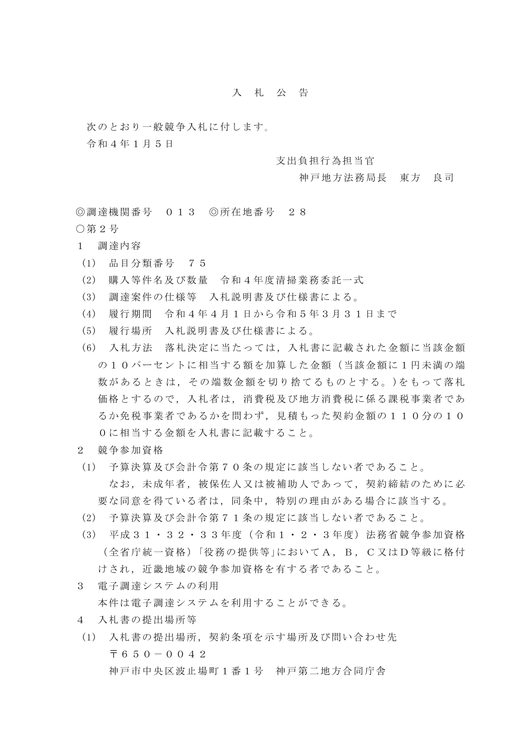## 入 札 公 告

次のとおり一般競争入札に付します。

令和4年1月5日

支出負担行為担当官

神戸地方法務局長 東方 良司

◎調達機関番号 013 ◎所在地番号 28 ○第2号

- 1 調達内容
- (1) 品目分類番号 75
- (2) 購入等件名及び数量 令和4年度清掃業務委託一式
- (3) 調達案件の仕様等 入札説明書及び仕様書による。
- (4) 履行期間 令和4年4月1日から令和5年3月31日まで
- (5) 履行場所 入札説明書及び仕様書による。
- (6) 入札方法 落札決定に当たっては,入札書に記載された金額に当該金額 の10パーセントに相当する額を加算した金額(当該金額に1円未満の端 数があるときは,その端数金額を切り捨てるものとする。)をもって落札 価格とするので,入札者は,消費税及び地方消費税に係る課税事業者であ るか免税事業者であるかを問わず,見積もった契約金額の110分の10 0に相当する金額を入札書に記載すること。
- 2 競争参加資格
- (1) 予算決算及び会計令第70条の規定に該当しない者であること。 なお,未成年者,被保佐人又は被補助人であって,契約締結のために必 要な同意を得ている者は,同条中,特別の理由がある場合に該当する。
- (2) 予算決算及び会計令第71条の規定に該当しない者であること。
- (3) 平成31・32・33年度(令和1・2・3年度)法務省競争参加資格 (全省庁統一資格)「役務の提供等」においてA,B,C又はD等級に格付 けされ,近畿地域の競争参加資格を有する者であること。
- 3 電子調達システムの利用

本件は電子調達システムを利用することができる。

- 4 入札書の提出場所等
- (1) 入札書の提出場所,契約条項を示す場所及び問い合わせ先 〒650-0042 神戸市中央区波止場町1番1号 神戸第二地方合同庁舎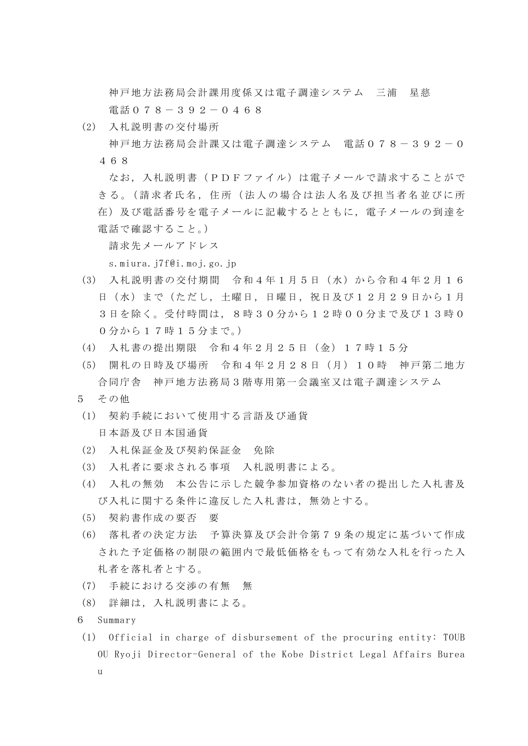神戸地方法務局会計課用度係又は電子調達システム 三浦 星慈 電話078-392-0468

(2) 入札説明書の交付場所

神戸地方法務局会計課又は電子調達システム 電話078-392-0 468

なお,入札説明書(PDFファイル)は電子メールで請求することがで さる。(請求者氏名, 住所(法人の場合は法人名及び担当者名並びに所 在)及び電話番号を電子メールに記載するとともに,電子メールの到達を 電話で確認すること。)

請求先メールアドレス

s.miura.j7f@i.moj.go.jp

- (3) 入札説明書の交付期間 令和4年1月5日(水)から令和4年2月16 日(水)まで(ただし,土曜日,日曜日,祝日及び12月29日から1月 3日を除く。受付時間は,8時30分から12時00分まで及び13時0 0分から17時15分まで。)
- (4) 入札書の提出期限 令和4年2月25日(金)17時15分
- (5) 開札の日時及び場所 令和4年2月28日(月)10時 神戸第二地方 合同庁舎 神戸地方法務局3階専用第一会議室又は電子調達システム
- 5 その他
- (1) 契約手続において使用する言語及び通貨 日本語及び日本国通貨
- (2) 入札保証金及び契約保証金 免除
- (3) 入札者に要求される事項 入札説明書による。
- (4) 入札の無効 本公告に示した競争参加資格のない者の提出した入札書及 び入札に関する条件に違反した入札書は,無効とする。
- (5) 契約書作成の要否 要
- (6) 落札者の決定方法 予算決算及び会計令第79条の規定に基づいて作成 された予定価格の制限の範囲内で最低価格をもって有効な入札を行った入 札者を落札者とする。
- (7) 手続における交渉の有無 無
- (8) 詳細は,入札説明書による。
- 6 Summary
- (1) Official in charge of disbursement of the procuring entity: TOUB OU Ryoji Director-General of the Kobe District Legal Affairs Burea  $\overline{11}$